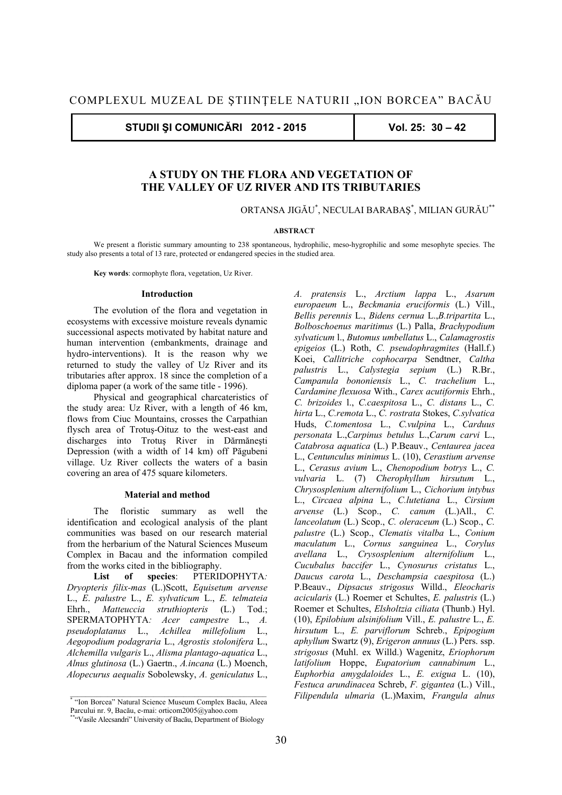**STUDII ŞI COMUNICĂRI 2012 - 2015 Vol. 25: 30 – 42** 

# **A STUDY ON THE FLORA AND VEGETATION OF THE VALLEY OF UZ RIVER AND ITS TRIBUTARIES**

ORTANSA JIGĂU\* , NECULAI BARABAŞ\* , MILIAN GURĂU\*\*

### **ABSTRACT**

We present a floristic summary amounting to 238 spontaneous, hydrophilic, meso-hygrophilic and some mesophyte species. The study also presents a total of 13 rare, protected or endangered species in the studied area.

**Key words**: cormophyte flora, vegetation, Uz River.

## **Introduction**

The evolution of the flora and vegetation in ecosystems with excessive moisture reveals dynamic successional aspects motivated by habitat nature and human intervention (embankments, drainage and hydro-interventions). It is the reason why we returned to study the valley of Uz River and its tributaries after approx. 18 since the completion of a diploma paper (a work of the same title - 1996).

Physical and geographical charcateristics of the study area: Uz River, with a length of 46 km, flows from Ciuc Mountains, crosses the Carpathian flysch area of Trotuş-Oituz to the west-east and discharges into Trotuş River in Dărmăneşti Depression (with a width of 14 km) off Păgubeni village. Uz River collects the waters of a basin covering an area of 475 square kilometers.

#### **Material and method**

The floristic summary as well the identification and ecological analysis of the plant communities was based on our research material from the herbarium of the Natural Sciences Museum Complex in Bacau and the information compiled from the works cited in the bibliography.

**List of species**: PTERIDOPHYTA*: Dryopteris filix-mas* (L.)Scott, *Equisetum arvense* L., *E*. *palustre* L., *E. sylvaticum* L., *E. telmateia* Ehrh., *Matteuccia struthiopteris* (L.) Tod.; SPERMATOPHYTA*: Acer campestre* L., *A. pseudoplatanus* L., *Achillea millefolium* L., *Aegopodium podagraria* L., *Agrostis stolonifera* L., *Alchemilla vulgaris* L., *Alisma plantago-aquatica* L., *Alnus glutinosa* (L.) Gaertn., *A.incana* (L.) Moench, *Alopecurus aequalis* Sobolewsky, *A. geniculatus* L.,

*A. pratensis* L., *Arctium lappa* L., *Asarum europaeum* L., *Beckmania eruciformis* (L.) Vill., *Bellis perennis* L., *Bidens cernua* L.,*B.tripartita* L., *Bolboschoenus maritimus* (L.) Palla, *Brachypodium sylvaticum* l., *Butomus umbellatus* L., *Calamagrostis epigeios* (L.) Roth, *C. pseudophragmites* (Hall.f.) Koei, *Callitriche cophocarpa* Sendtner, *Caltha palustris* L., *Calystegia sepium* (L.) R.Br., *Campanula bononiensis* L., *C. trachelium* L., *Cardamine flexuosa* With., *Carex acutiformis* Ehrh., *C. brizoides* l., *C.caespitosa* L., *C. distans* L., *C. hirta* L., *C.remota* L., *C. rostrata* Stokes, *C.sylvatica* Huds, *C.tomentosa* L., *C.vulpina* L., *Carduus personata* L.,*Carpinus betulus* L.,*Carum carvi* L., *Catabrosa aquatica* (L.) P.Beauv., *Centaurea jacea* L., *Centunculus minimus* L. (10), *Cerastium arvense* L., *Cerasus avium* L., *Chenopodium botrys* L., *C. vulvaria* L. (7) *Cherophyllum hirsutum* L., *Chrysosplenium alternifolium* L., *Cichorium intybus* L., *Circaea alpina* L., *C.lutetiana* L., *Cirsium arvense* (L.) Scop., *C. canum* (L.)All., *C. lanceolatum* (L.) Scop., *C. oleraceum* (L.) Scop., *C. palustre* (L.) Scop., *Clematis vitalba* L., *Conium maculatum* L., *Cornus sanguinea* L., *Corylus avellana* L., *Crysosplenium alternifolium* L., *Cucubalus baccifer* L., *Cynosurus cristatus* L., *Daucus carota* L., *Deschampsia caespitosa* (L.) P.Beauv., *Dipsacus strigosus* Willd., *Eleocharis acicularis* (L.) Roemer et Schultes, *E. palustris* (L.) Roemer et Schultes, *Elsholtzia ciliata* (Thunb.) Hyl. (10), *Epilobium alsinifolium* Vill., *E. palustre* L., *E. hirsutum* L., *E. parviflorum* Schreb., *Epipogium aphyllum* Swartz (9), *Erigeron annuus* (L.) Pers. ssp. *strigosus* (Muhl. ex Willd.) Wagenitz, *Eriophorum latifolium* Hoppe, *Eupatorium cannabinum* L., *Euphorbia amygdaloides* L., *E. exigua* L. (10), *Festuca arundinacea* Schreb, *F. gigantea* (L.) Vill., *Filipendula ulmaria* (L.)Maxim, *Frangula alnus*

<sup>\* &</sup>quot;Ion Borcea" Natural Science Museum Complex Bacău, Aleea Parcului nr. 9, Bacău, e-mai: orticom2005@yahoo.com

<sup>\*\*&</sup>quot;Vasile Alecsandri" University of Bacău, Department of Biology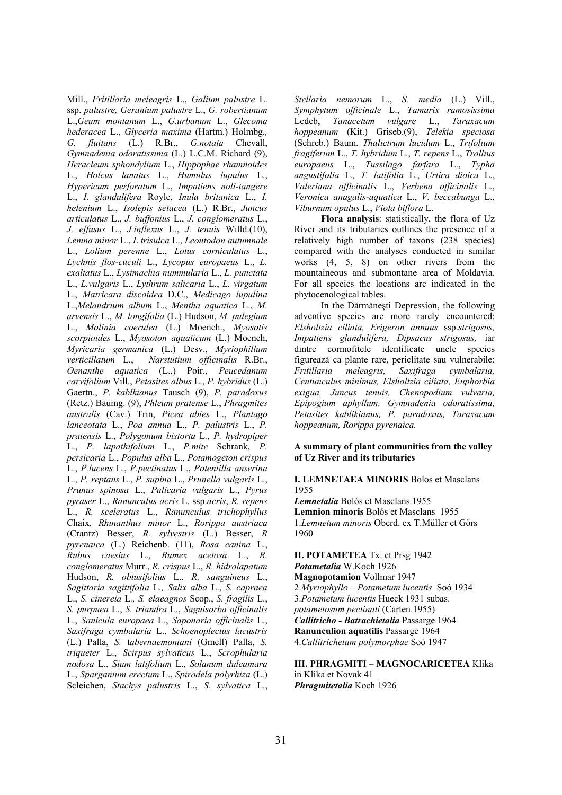Mill., *Fritillaria meleagris* L., *Galium palustre* L. ssp. *palustre, Geranium palustre* L., *G. robertianum*  L.,*Geum montanum* L., *G.urbanum* L., *Glecoma hederacea* L., *Glyceria maxima* (Hartm.) Holmbg*., G. fluitans* (L.) R.Br., *G.notata* Chevall, *Gymnadenia odoratissima* (L.) L.C.M. Richard (9), *Heracleum sphondylium* L., *Hippophae rhamnoides* L., *Holcus lanatus* L., *Humulus lupulus* L., *Hypericum perforatum* L., *Impatiens noli-tangere* L., *I. glandulifera* Royle, *Inula britanica* L., *I. helenium* L., *Isolepis setacea* (L.) R.Br., *Juncus articulatus* L., *J. buffonius* L., *J. conglomeratus* L., *J. effusus* L., *J.inflexus* L., *J. tenuis* Willd.(10), *Lemna minor* L., *L.trisulca* L., *Leontodon autumnale* L., *Lolium perenne* L., *Lotus corniculatus* L., *Lychnis flos-cuculi* L., *Lycopus europaeus* L., *L. exaltatus* L., *Lysimachia nummularia* L., *L. punctata* L., *L.vulgaris* L., *Lythrum salicaria* L., *L. virgatum* L., *Matricara discoidea* D.C., *Medicago lupulina* L.,*Melandrium album* L., *Mentha aquatica* L., *M. arvensis* L., *M. longifolia* (L.) Hudson, *M. pulegium* L., *Molinia coerulea* (L.) Moench., *Myosotis scorpioides* L., *Myosoton aquaticum* (L.) Moench, *Myricaria germanica* (L.) Desv., *Myriophillum verticillatum* L., *Narstutium officinalis* R.Br., *Oenanthe aquatica* (L.,) Poir., *Peucedanum carvifolium* Vill., *Petasites albus* L., *P. hybridus* (L.) Gaertn., *P. kablkianus* Tausch (9), *P. paradoxus* (Retz.) Baumg. (9), *Phleum pratense* L., *Phragmites australis* (Cav.) Trin, *Picea abies* L., *Plantago lanceotata* L., *Poa annua* L., *P. palustris* L., *P. pratensis* L., *Polygonum bistorta* L*., P. hydropiper* L., *P. lapathifolium* L., *P.mite* Schrank, *P. persicaria* L., *Populus alba* L., *Potamogeton crispus* L., *P.lucens* L., *P.pectinatus* L., *Potentilla anserina* L., *P. reptans* L., *P. supina* L., *Prunella vulgaris* L., *Prunus spinosa* L., *Pulicaria vulgaris* L., *Pyrus pyraser* L., *Ranunculus acris* L. ssp.*acris*, *R. repens* L., *R. sceleratus* L., *Ranunculus trichophyllus* Chaix*, Rhinanthus minor* L., *Rorippa austriaca* (Crantz) Besser, *R. sylvestris* (L.) Besser, *R pyrenaica* (L.) Reichenb. (11), *Rosa canina* L., *Rubus caesius* L., *Rumex acetosa* L., *R. conglomeratus* Murr., *R. crispus* L., *R. hidrolapatum* Hudson, *R. obtusifolius* L., *R. sanguineus* L., *Sagittaria sagittifolia* L*., Salix alba* L., *S. capraea* L., *S. cinereia* L*., S. elaeagnos* Scop., *S. fragilis* L., *S. purpuea* L., *S. triandra* L., *Saguisorba officinalis* L., *Sanicula europaea* L., *Saponaria officinalis* L., *Saxifraga cymbalaria* L., *Schoenoplectus lacustris* (L.) Palla, *S.* t*abernaemontani* (Gmell) Palla, *S. triqueter* L., *Scirpus sylvaticus* L., *Scrophularia nodosa* L., *Sium latifolium* L., *Solanum dulcamara* L., *Sparganium erectum* L., *Spirodela polyrhiza* (L.) Scleichen, *Stachys palustris* L., *S. sylvatica* L.,

*Stellaria nemorum* L., *S. media* (L.) Vill., *Symphytum* o*fficinale* L., *Tamarix ramosissima* Ledeb, *Tanacetum vulgare* L., *Taraxacum hoppeanum* (Kit.) Griseb.(9), *Telekia speciosa* (Schreb.) Baum. *Thalictrum lucidum* L., *Trifolium fragiferum* L., *T. hybridum* L., *T. repens* L., *Trollius europaeus* L., *Tussilago farfara* L., *Typha angustifolia* L*., T. latifolia* L., *Urtica dioica* L., *Valeriana officinalis* L., *Verbena officinalis* L., *Veronica anagalis-aquatica* L., *V. beccabunga* L., *Viburnum opulus* L., *Viola biflora* L.

**Flora analysis**: statistically, the flora of Uz River and its tributaries outlines the presence of a relatively high number of taxons (238 species) compared with the analyses conducted in similar works (4, 5, 8) on other rivers from the mountaineous and submontane area of Moldavia. For all species the locations are indicated in the phytocenological tables.

In the Dărmăneşti Depression, the following adventive species are more rarely encountered: *Elsholtzia ciliata, Erigeron annuus* ssp.*strigosus, Impatiens glandulifera, Dipsacus strigosus,* iar dintre cormofitele identificate unele species figurează ca plante rare, periclitate sau vulnerabile: *Fritillaria meleagris, Saxifraga cymbalaria, Centunculus minimus, Elsholtzia ciliata, Euphorbia exigua, Juncus tenuis, Chenopodium vulvaria, Epipogium aphyllum, Gymnadenia odoratissima, Petasites kablikianus, P. paradoxus, Taraxacum hoppeanum, Rorippa pyrenaica.*

## **A summary of plant communities from the valley of Uz River and its tributaries**

## **I. LEMNETAEA MINORIS** Bolos et Masclans 1955

*Lemnetalia* Bolós et Masclans 1955 **Lemnion minoris** Bolós et Masclans 1955 1.*Lemnetum minoris* Oberd. ex T.Müller et Görs 1960

**II. POTAMETEA** Tx. et Prsg 1942 *Potametalia* W.Koch 1926 **Magnopotamion** Vollmar 1947 2.*Myriophyllo – Potametum lucentis* Soó 1934 3.*Potametum lucentis* Hueck 1931 subas. *potametosum pectinati* (Carten.1955) *Callitricho - Batrachietalia* Passarge 1964 **Ranunculion aquatilis** Passarge 1964 4.*Callitrichetum polymorphae* Soó 1947

# **III. PHRAGMITI – MAGNOCARICETEA** Klika in Klika et Novak 41 *Phragmitetalia* Koch 1926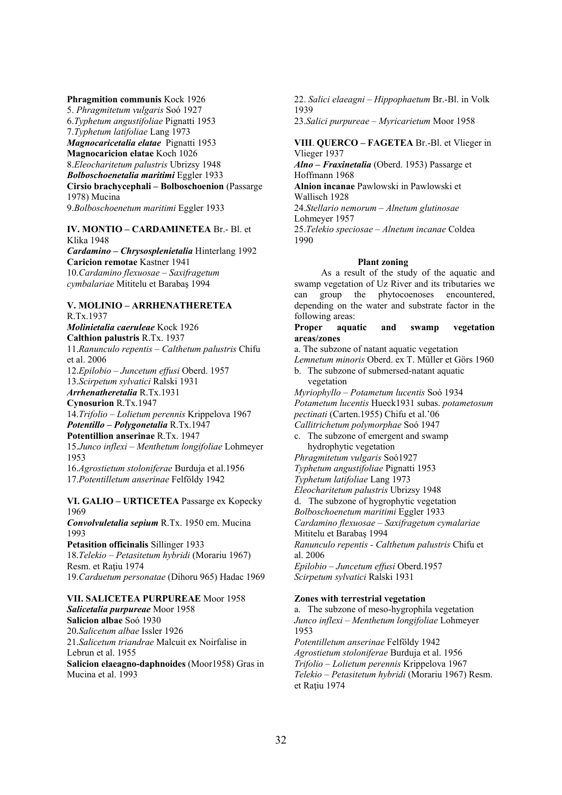**Phragmition communis** Kock 1926 5. *Phragmitetum vulgaris* Soó 1927 6.*Typhetum angustifoliae* Pignatti 1953 7.*Typhetum latifoliae* Lang 1973 *Magnocaricetalia elatae* Pignatti 1953 **Magnocaricion elatae** Koch 1026 8.*Eleocharitetum palustris* Ubrizsy 1948 *Bolboschoenetalia maritimi* Eggler 1933 **Cirsio brachycephali – Bolboschoenion** (Passarge 1978) Mucina 9.*Bolboschoenetum maritimi* Eggler 1933

**IV. MONTIO – CARDAMINETEA** Br.- Bl. et Klika 1948 *Cardamino – Chrysosplenietalia* Hinterlang 1992 **Caricion remotae** Kastner 1941 10.*Cardamino flexuosae – Saxifragetum cymbalariae* Mititelu et Barabaş 1994

## **V. MOLINIO – ARRHENATHERETEA** R.Tx.1937

*Molinietalia caeruleae* Kock 1926 **Calthion palustris** R.Tx. 1937 11.*Ranunculo repentis – Calthetum palustris* Chifu et al. 2006 12.*Epilobio – Juncetum effusi* Oberd. 1957 13.*Scirpetum sylvatici* Ralski 1931 *Arrhenatheretalia* R.Tx.1931 **Cynosurion** R.Tx.1947 14.*Trifolio – Lolietum perennis* Krippelova 1967 *Potentillo – Polygonetalia* R.Tx.1947 **Potentillion anserinae** R.Tx. 1947 15.*Junco inflexi – Menthetum longifoliae* Lohmeyer 1953 16.*Agrostietum stoloniferae* Burduja et al.1956 17.*Potentilletum anserinae* Felföldy 1942

**VI. GALIO – URTICETEA** Passarge ex Kopecky 1969 *Convolvuletalia sepium* R.Tx. 1950 em. Mucina 1993 **Petasition officinalis** Sillinger 1933 18.*Telekio – Petasitetum hybridi* (Morariu 1967) Resm. et Raţiu 1974 19.*Carduetum personatae* (Dihoru 965) Hadac 1969

**VII. SALICETEA PURPUREAE** Moor 1958 *Salicetalia purpureae* Moor 1958 **Salicion albae** Soó 1930 20.*Salicetum albae* Issler 1926 21.*Salicetum triandrae* Malcuit ex Noirfalise in Lebrun et al. 1955 **Salicion elaeagno-daphnoides** (Moor1958) Gras in Mucina et al. 1993

22. *Salici elaeagni – Hippophaetum* Br.-Bl. in Volk 1939 23.*Salici purpureae – Myricarietum* Moor 1958

**VIII**. **QUERCO – FAGETEA** Br.-Bl. et Vlieger in Vlieger 1937

*Alno – Fraxinetalia* (Oberd. 1953) Passarge et Hoffmann 1968

**Alnion incanae** Pawlowski in Pawlowski et Wallisch 1928

24.*Stellario nemorum – Alnetum glutinosae* Lohmeyer 1957

25.*Telekio speciosae – Alnetum incanae* Coldea 1990

# **Plant zoning**

As a result of the study of the aquatic and swamp vegetation of Uz River and its tributaries we can group the phytocoenoses encountered, depending on the water and substrate factor in the following areas:

## **Proper aquatic and swamp vegetation areas/zones**

a. The subzone of natant aquatic vegetation *Lemnetum minoris* Oberd. ex T. Müller et Görs 1960 b. The subzone of submersed-natant aquatic vegetation

*Myriophyllo – Potametum lucentis* Soó 1934 *Potametum lucentis* Hueck1931 subas. *potametosum pectinati* (Carten.1955) Chifu et al.'06 *Callitrichetum polymorphae* Soó 1947

c. The subzone of emergent and swamp hydrophytic vegetation

*Phragmitetum vulgaris* Soó1927 *Typhetum angustifoliae* Pignatti 1953

*Typhetum latifoliae* Lang 1973

*Eleocharitetum palustris* Ubrizsy 1948

d. The subzone of hygrophytic vegetation

*Bolboschoenetum maritimi* Eggler 1933

*Cardamino flexuosae – Saxifragetum cymalariae*

Mititelu et Barabaş 1994

*Ranunculo repentis - Calthetum palustris* Chifu et al. 2006

*Epilobio – Juncetum effusi* Oberd.1957 *Scirpetum sylvatici* Ralski 1931

## **Zones with terrestrial vegetation**

a. The subzone of meso-hygrophila vegetation *Junco inflexi – Menthetum longifoliae* Lohmeyer 1953 *Potentilletum anserinae* Felföldy 1942 *Agrostietum stoloniferae* Burduja et al. 1956 *Trifolio – Lolietum perennis* Krippelova 1967 *Telekio – Petasitetum hybridi* (Morariu 1967) Resm. et Rațiu 1974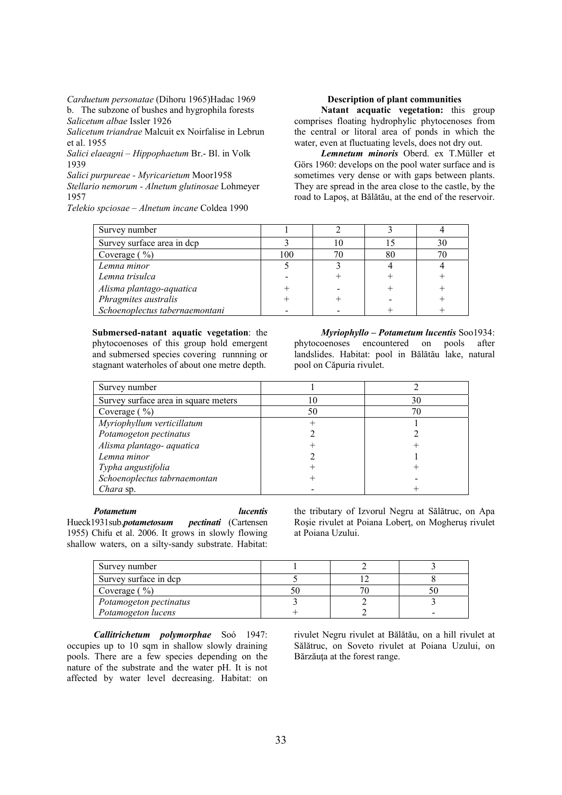*Carduetum personatae* (Dihoru 1965)Hadac 1969 b. The subzone of bushes and hygrophila forests *Salicetum albae* Issler 1926

*Salicetum triandrae* Malcuit ex Noirfalise in Lebrun et al. 1955

*Salici elaeagni – Hippophaetum* Br.- Bl. in Volk 1939

*Salici purpureae - Myricarietum* Moor1958 *Stellario nemorum - Alnetum glutinosae* Lohmeyer

1957

*Telekio spciosae – Alnetum incane* Coldea 1990

## **Description of plant communities**

**Natant acquatic vegetation:** this group comprises floating hydrophylic phytocenoses from the central or litoral area of ponds in which the water, even at fluctuating levels, does not dry out.

*Lemnetum minoris* Oberd. ex T.Müller et Görs 1960: develops on the pool water surface and is sometimes very dense or with gaps between plants. They are spread in the area close to the castle, by the road to Lapoş, at Bălătău, at the end of the reservoir.

| Survey number                  |     |  |  |
|--------------------------------|-----|--|--|
| Survey surface area in dcp     |     |  |  |
| Coverage $(\frac{9}{0})$       | 100 |  |  |
| Lemna minor                    |     |  |  |
| Lemna trisulca                 |     |  |  |
| Alisma plantago-aquatica       |     |  |  |
| Phragmites australis           |     |  |  |
| Schoenoplectus tabernaemontani |     |  |  |

**Submersed-natant aquatic vegetation**: the phytocoenoses of this group hold emergent and submersed species covering runnning or stagnant waterholes of about one metre depth.

*Myriophyllo – Potametum lucentis* Soo1934: phytocoenoses encountered on pools after landslides. Habitat: pool in Bălătău lake, natural pool on Căpuria rivulet.

| Survey number                        |    |    |
|--------------------------------------|----|----|
| Survey surface area in square meters |    | 30 |
| Coverage $(\frac{9}{0})$             | 50 |    |
| Myriophyllum verticillatum           |    |    |
| Potamogeton pectinatus               |    |    |
| Alisma plantago- aquatica            |    |    |
| Lemna minor                          |    |    |
| Typha angustifolia                   |    |    |
| Schoenoplectus tabrnaemontan         |    |    |
| Chara sp.                            |    |    |

*Potametum lucentis*

Hueck1931sub.*potametosum pectinati* (Cartensen 1955) Chifu et al. 2006. It grows in slowly flowing shallow waters, on a silty-sandy substrate. Habitat: the tributary of Izvorul Negru at Sălătruc, on Apa Roşie rivulet at Poiana Loberţ, on Mogheruş rivulet at Poiana Uzului.

| Survey number          |  |  |
|------------------------|--|--|
| Survey surface in dcp  |  |  |
| Coverage $(\% )$       |  |  |
| Potamogeton pectinatus |  |  |
| Potamogeton lucens     |  |  |

*Callitrichetum polymorphae* Soó 1947: occupies up to 10 sqm in shallow slowly draining pools. There are a few species depending on the nature of the substrate and the water pH. It is not affected by water level decreasing. Habitat: on rivulet Negru rivulet at Bălătău, on a hill rivulet at Sălătruc, on Soveto rivulet at Poiana Uzului, on Bărzăuta at the forest range.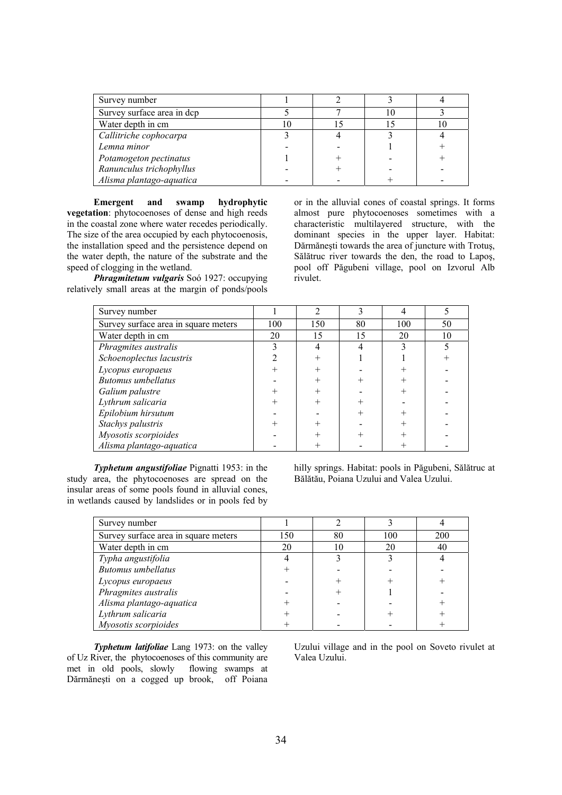| Survey number              |  |  |
|----------------------------|--|--|
| Survey surface area in dcp |  |  |
| Water depth in cm          |  |  |
| Callitriche cophocarpa     |  |  |
| Lemna minor                |  |  |
| Potamogeton pectinatus     |  |  |
| Ranunculus trichophyllus   |  |  |
| Alisma plantago-aquatica   |  |  |

**Emergent and swamp hydrophytic vegetation**: phytocoenoses of dense and high reeds in the coastal zone where water recedes periodically. The size of the area occupied by each phytocoenosis, the installation speed and the persistence depend on the water depth, the nature of the substrate and the speed of clogging in the wetland.

*Phragmitetum vulgaris* Soó 1927: occupying relatively small areas at the margin of ponds/pools or in the alluvial cones of coastal springs. It forms almost pure phytocoenoses sometimes with a characteristic multilayered structure, with the dominant species in the upper layer. Habitat: Dărmăneşti towards the area of juncture with Trotuş, Sălătruc river towards the den, the road to Lapoş, pool off Păgubeni village, pool on Izvorul Alb rivulet.

| Survey number                        |     | ↑   | 3  |     |    |
|--------------------------------------|-----|-----|----|-----|----|
| Survey surface area in square meters | 100 | 150 | 80 | 100 | 50 |
| Water depth in cm                    | 20  | 15  | 15 | 20  | 10 |
| Phragmites australis                 |     |     |    |     |    |
| Schoenoplectus lacustris             |     |     |    |     |    |
| Lycopus europaeus                    |     |     |    |     |    |
| <b>Butomus</b> umbellatus            |     |     |    |     |    |
| Galium palustre                      |     |     |    |     |    |
| Lythrum salicaria                    |     |     |    |     |    |
| Epilobium hirsutum                   |     |     |    |     |    |
| Stachys palustris                    |     |     |    |     |    |
| Myosotis scorpioides                 |     |     |    |     |    |
| Alisma plantago-aquatica             |     |     |    |     |    |

*Typhetum angustifoliae* Pignatti 1953: in the study area, the phytocoenoses are spread on the insular areas of some pools found in alluvial cones, in wetlands caused by landslides or in pools fed by hilly springs. Habitat: pools in Păgubeni, Sălătruc at Bălătău, Poiana Uzului and Valea Uzului.

| Survey number                        |     |    |     |     |
|--------------------------------------|-----|----|-----|-----|
| Survey surface area in square meters | 150 | 80 | 100 | 200 |
| Water depth in cm                    | 20  |    | 20  | 40  |
| Typha angustifolia                   |     |    |     |     |
| <b>Butomus</b> umbellatus            |     |    |     |     |
| Lycopus europaeus                    |     |    |     |     |
| Phragmites australis                 |     |    |     |     |
| Alisma plantago-aquatica             |     |    |     |     |
| Lythrum salicaria                    |     |    |     |     |
| Myosotis scorpioides                 |     |    |     |     |

*Typhetum latifoliae* Lang 1973: on the valley of Uz River, the phytocoenoses of this community are met in old pools, slowly flowing swamps at Dărmăneşti on a cogged up brook, off Poiana Uzului village and in the pool on Soveto rivulet at Valea Uzului.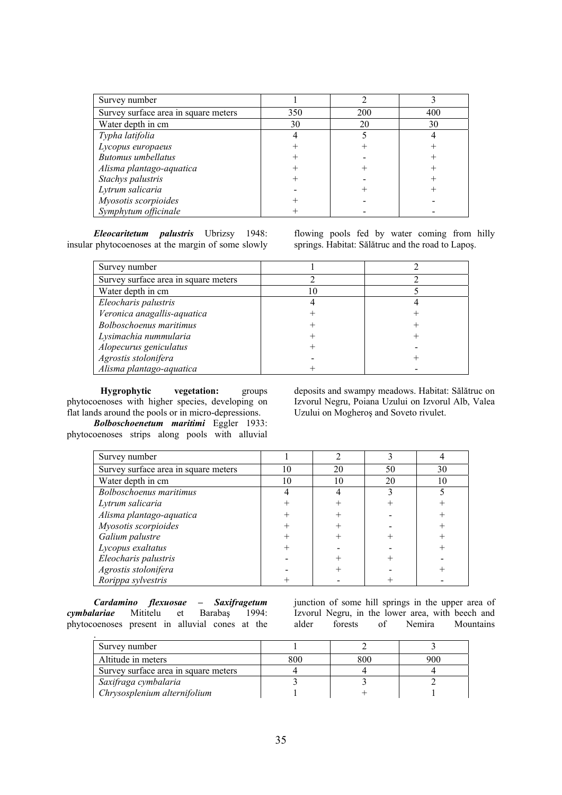| Survey number                        |     |     |     |
|--------------------------------------|-----|-----|-----|
| Survey surface area in square meters | 350 | 200 | 400 |
| Water depth in cm                    | 30  | 20  | 30  |
| Typha latifolia                      |     |     |     |
| Lycopus europaeus                    |     |     |     |
| <b>Butomus</b> umbellatus            |     |     |     |
| Alisma plantago-aquatica             |     |     |     |
| Stachys palustris                    |     |     |     |
| Lytrum salicaria                     |     |     |     |
| Myosotis scorpioides                 |     |     |     |
| Symphytum officinale                 |     |     |     |

*Eleocaritetum palustris* Ubrizsy 1948: insular phytocoenoses at the margin of some slowly flowing pools fed by water coming from hilly springs. Habitat: Sălătruc and the road to Lapoş.

| Survey number                        |  |
|--------------------------------------|--|
| Survey surface area in square meters |  |
| Water depth in cm                    |  |
| Eleocharis palustris                 |  |
| Veronica anagallis-aquatica          |  |
| <b>Bolboschoenus maritimus</b>       |  |
| Lysimachia nummularia                |  |
| Alopecurus geniculatus               |  |
| Agrostis stolonifera                 |  |
| Alisma plantago-aquatica             |  |

**Hygrophytic vegetation:** groups phytocoenoses with higher species, developing on flat lands around the pools or in micro-depressions.

*Bolboschoenetum maritimi* Eggler 1933: phytocoenoses strips along pools with alluvial deposits and swampy meadows. Habitat: Sălătruc on Izvorul Negru, Poiana Uzului on Izvorul Alb, Valea Uzului on Mogheroş and Soveto rivulet.

| Survey number                        |    |    |    |    |
|--------------------------------------|----|----|----|----|
| Survey surface area in square meters | 10 | 20 | 50 | 30 |
| Water depth in cm                    | 10 | 10 | 20 |    |
| <b>Bolboschoenus maritimus</b>       |    |    |    |    |
| Lytrum salicaria                     |    |    |    |    |
| Alisma plantago-aquatica             |    |    |    |    |
| Myosotis scorpioides                 |    |    |    |    |
| Galium palustre                      |    |    |    |    |
| Lycopus exaltatus                    |    |    |    |    |
| Eleocharis palustris                 |    |    |    |    |
| Agrostis stolonifera                 |    |    |    |    |
| Rorippa sylvestris                   |    |    |    |    |

*Cardamino flexuosae – Saxifragetum cymbalariae* Mititelu et Barabaş 1994: phytocoenoses present in alluvial cones at the

junction of some hill springs in the upper area of Izvorul Negru, in the lower area, with beech and alder forests of Nemira Mountains

| Survey number                        |     |     |     |
|--------------------------------------|-----|-----|-----|
| Altitude in meters                   | 800 | 800 | 200 |
| Survey surface area in square meters |     |     |     |
| Saxifraga cymbalaria                 |     |     |     |
| Chrysosplenium alternifolium         |     |     |     |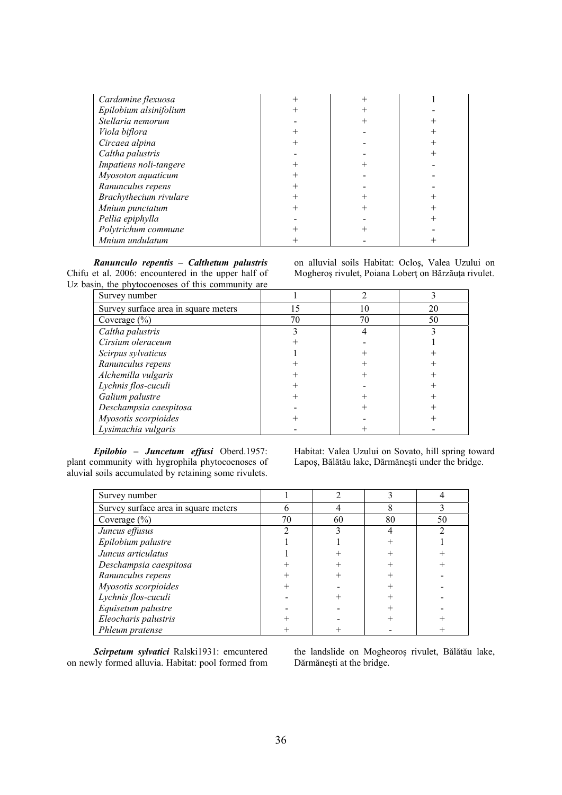| Cardamine flexuosa     |   |   |
|------------------------|---|---|
| Epilobium alsinifolium | ┿ |   |
| Stellaria nemorum      |   |   |
| Viola biflora          |   |   |
| Circaea alpina         | ┿ | ┾ |
| Caltha palustris       |   |   |
| Impatiens noli-tangere |   |   |
| Myosoton aquaticum     |   |   |
| Ranunculus repens      | ┿ |   |
| Brachythecium rivulare | ┾ |   |
| Mnium punctatum        |   |   |
| Pellia epiphylla       |   |   |
| Polytrichum commune    |   |   |
| Mnium undulatum        | ┿ |   |

*Ranunculo repentis – Calthetum palustris* Chifu et al. 2006: encountered in the upper half of Uz basin, the phytocoenoses of this community are

Survey number 1 2 3 Survey surface area in square meters 15 10 10 20  $Coverage (%)$  70 70 50 *Caltha palustris* 2 3 3 4 3 *Cirsium oleraceum* + - 1 *Scirpus sylvaticus*  $\begin{array}{cccc} \hline \end{array}$  1 +  $\begin{array}{cccc} \hline \end{array}$  + *Ranunculus repens*  $+$   $+$   $+$   $+$ *Alchemilla vulgaris*  $+$   $+$   $+$   $+$   $+$ *Lychnis flos-cuculi* + - + *Galium palustre*  $+$   $+$   $+$   $+$ *Deschampsia caespitosa* - + + *Myosotis scorpioides*  $+$   $+$   $+$   $+$ *Lysimachia vulgaris* +

*Epilobio – Juncetum effusi* Oberd.1957: plant community with hygrophila phytocoenoses of aluvial soils accumulated by retaining some rivulets. Habitat: Valea Uzului on Sovato, hill spring toward Lapoş, Bălătău lake, Dărmăneşti under the bridge.

on alluvial soils Habitat: Ocloş, Valea Uzului on Mogheroş rivulet, Poiana Loberţ on Bărzăuţa rivulet.

| Survey number                        |    |    |    |    |
|--------------------------------------|----|----|----|----|
| Survey surface area in square meters | n  |    |    |    |
| Coverage $(\% )$                     | 70 | 60 | 80 | 50 |
| Juncus effusus                       |    |    |    |    |
| Epilobium palustre                   |    |    |    |    |
| Juncus articulatus                   |    |    |    |    |
| Deschampsia caespitosa               |    |    |    |    |
| Ranunculus repens                    |    |    |    |    |
| Myosotis scorpioides                 |    |    |    |    |
| Lychnis flos-cuculi                  |    |    |    |    |
| Equisetum palustre                   |    |    |    |    |
| Eleocharis palustris                 |    |    |    |    |
| Phleum pratense                      |    |    |    |    |

*Scirpetum sylvatici* Ralski1931: emcuntered on newly formed alluvia. Habitat: pool formed from the landslide on Mogheoroş rivulet, Bălătău lake, Dărmăneşti at the bridge.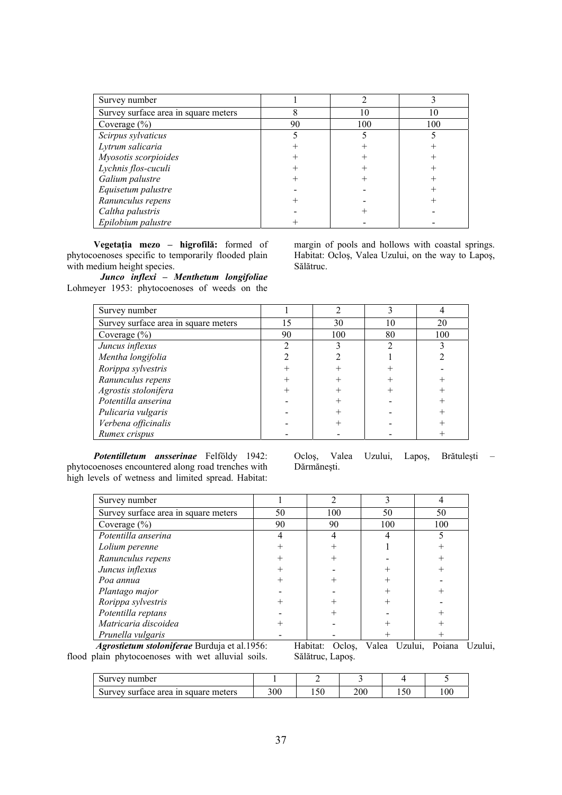| Survey number                        |    |     |     |
|--------------------------------------|----|-----|-----|
| Survey surface area in square meters |    | 10  | 10  |
| Coverage $(\%)$                      | 90 | 100 | 100 |
| Scirpus sylvaticus                   |    |     |     |
| Lytrum salicaria                     |    |     |     |
| Myosotis scorpioides                 |    |     |     |
| Lychnis flos-cuculi                  |    |     |     |
| Galium palustre                      |    |     |     |
| Equisetum palustre                   |    |     |     |
| Ranunculus repens                    |    |     |     |
| Caltha palustris                     |    |     |     |
| Epilobium palustre                   |    |     |     |

**Vegetaţia mezo – higrofilă:** formed of phytocoenoses specific to temporarily flooded plain with medium height species.

*Junco inflexi – Menthetum longifoliae* Lohmeyer 1953: phytocoenoses of weeds on the margin of pools and hollows with coastal springs. Habitat: Ocloş, Valea Uzului, on the way to Lapoş, Sălătruc.

| Survey number                        |    |     |    |     |
|--------------------------------------|----|-----|----|-----|
| Survey surface area in square meters | 15 | 30  | 10 | 20  |
| Coverage $(\% )$                     | 90 | 100 | 80 | 100 |
| Juncus inflexus                      |    |     |    |     |
| Mentha longifolia                    |    |     |    |     |
| Rorippa sylvestris                   |    |     |    |     |
| Ranunculus repens                    |    |     |    |     |
| Agrostis stolonifera                 |    |     |    |     |
| Potentilla anserina                  |    |     |    |     |
| Pulicaria vulgaris                   |    |     |    |     |
| Verbena officinalis                  |    |     |    |     |
| Rumex crispus                        |    |     |    |     |

*Potentilletum ansserinae* Felföldy 1942: phytocoenoses encountered along road trenches with high levels of wetness and limited spread. Habitat: Ocloş, Valea Uzului, Lapoş, Brătuleşti – Dărmăneşti.

| Survey number                                                                                                                                                                                                                                                                                                                                           |    |     |     |     |
|---------------------------------------------------------------------------------------------------------------------------------------------------------------------------------------------------------------------------------------------------------------------------------------------------------------------------------------------------------|----|-----|-----|-----|
| Survey surface area in square meters                                                                                                                                                                                                                                                                                                                    | 50 | 100 | 50  | 50  |
| Coverage $(\% )$                                                                                                                                                                                                                                                                                                                                        | 90 | 90  | 100 | 100 |
| Potentilla anserina                                                                                                                                                                                                                                                                                                                                     |    |     |     |     |
| Lolium perenne                                                                                                                                                                                                                                                                                                                                          |    |     |     |     |
| Ranunculus repens                                                                                                                                                                                                                                                                                                                                       |    |     |     |     |
| Juncus inflexus                                                                                                                                                                                                                                                                                                                                         |    |     |     |     |
| Poa annua                                                                                                                                                                                                                                                                                                                                               |    |     |     |     |
| Plantago major                                                                                                                                                                                                                                                                                                                                          |    |     |     |     |
| Rorippa sylvestris                                                                                                                                                                                                                                                                                                                                      |    |     |     |     |
| Potentilla reptans                                                                                                                                                                                                                                                                                                                                      |    |     |     |     |
| Matricaria discoidea                                                                                                                                                                                                                                                                                                                                    |    |     |     |     |
| Prunella vulgaris<br>$\mathbf{r}$ $\mathbf{r}$ $\mathbf{r}$ $\mathbf{r}$ $\mathbf{r}$ $\mathbf{r}$ $\mathbf{r}$ $\mathbf{r}$ $\mathbf{r}$ $\mathbf{r}$ $\mathbf{r}$ $\mathbf{r}$ $\mathbf{r}$ $\mathbf{r}$ $\mathbf{r}$ $\mathbf{r}$ $\mathbf{r}$ $\mathbf{r}$ $\mathbf{r}$ $\mathbf{r}$ $\mathbf{r}$ $\mathbf{r}$ $\mathbf{r}$ $\mathbf{r}$ $\mathbf{$ |    |     |     |     |

 *Agrostietum stoloniferae* Burduja et al.1956: flood plain phytocoenoses with wet alluvial soils.

Habitat: Ocloş, Valea Uzului, Poiana Uzului, Sălătruc, Lapoş.

| number<br>Survey                                 |     |                     |     |                           |     |
|--------------------------------------------------|-----|---------------------|-----|---------------------------|-----|
| square meters<br>area<br>Survey<br>surface<br>1n | 300 | $\epsilon$<br>1 J U | 200 | $\sim$ $\sim$<br>⊥ ~<br>∼ | 100 |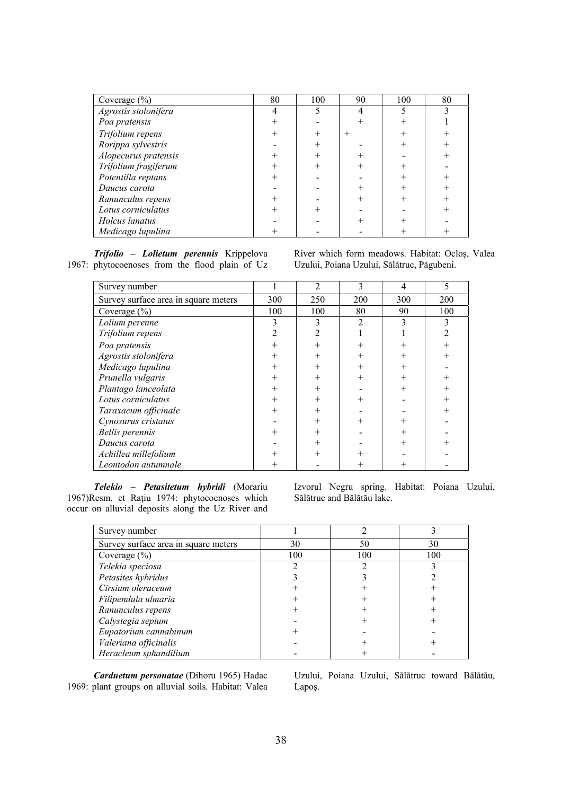| Coverage $(\% )$     | 80 | 100 | 90     | 100 | 80 |
|----------------------|----|-----|--------|-----|----|
| Agrostis stolonifera |    |     |        |     |    |
| Poa pratensis        |    |     |        |     |    |
| Trifolium repens     |    |     | $^{+}$ |     |    |
| Rorippa sylvestris   |    |     |        |     |    |
| Alopecurus pratensis |    |     |        |     |    |
| Trifolium fragiferum |    |     |        |     |    |
| Potentilla reptans   |    |     |        |     |    |
| Daucus carota        |    |     |        |     |    |
| Ranunculus repens    |    |     |        |     |    |
| Lotus corniculatus   |    |     |        |     |    |
| Holcus lanatus       |    |     |        |     |    |
| Medicago lupulina    |    |     |        |     |    |

*Trifolio – Lolietum perennis* Krippelova 1967: phytocoenoses from the flood plain of Uz River which form meadows. Habitat: Ocloş, Valea Uzului, Poiana Uzului, Sălătruc, Păgubeni.

| Survey number                        |                | $\overline{2}$ | 3              | 4      | 5      |
|--------------------------------------|----------------|----------------|----------------|--------|--------|
| Survey surface area in square meters | 300            | 250            | 200            | 300    | 200    |
| Coverage (%)                         | 100            | 100            | 80             | 90     | 100    |
| Lolium perenne                       | 3              | 3              | $\mathfrak{D}$ | 3      | 3      |
| Trifolium repens                     | 2              | $\mathfrak{D}$ |                |        |        |
| Poa pratensis                        | $^{+}$         | $^{+}$         | $^{+}$         |        |        |
| Agrostis stolonifera                 | $^{+}$         | $^{+}$         | $^{+}$         | $^{+}$ | $^{+}$ |
| Medicago lupulina                    | $\overline{+}$ | $^{+}$         | $^{+}$         | $^{+}$ |        |
| Prunella vulgaris                    | $\, +$         | $^{+}$         | $^{+}$         |        |        |
| Plantago lanceolata                  | $^{+}$         | $^{+}$         |                | $^{+}$ | $^{+}$ |
| Lotus corniculatus                   | $^{+}$         | $^{+}$         | $^{+}$         |        | $^{+}$ |
| Taraxacum officinale                 | $^{+}$         | $^{+}$         |                |        | $^{+}$ |
| Cynosurus cristatus                  |                | $^{+}$         | $^{+}$         |        |        |
| <b>Bellis</b> perennis               | $\overline{+}$ | $^{+}$         |                |        |        |
| Daucus carota                        |                | $^{+}$         |                | $^{+}$ |        |
| Achillea millefolium                 |                | $^{+}$         |                |        |        |
| Leontodon autumnale                  |                |                |                |        |        |

*Telekio – Petasitetum hybridi* (Morariu 1967)Resm. et Raţiu 1974: phytocoenoses which occur on alluvial deposits along the Uz River and Izvorul Negru spring. Habitat: Poiana Uzului, Sălătruc and Bălătău lake.

| Survey number                        |     |     |     |
|--------------------------------------|-----|-----|-----|
| Survey surface area in square meters | 30  | 50  | 30  |
| Coverage $(\% )$                     | 100 | 100 | 100 |
| Telekia speciosa                     |     |     |     |
| Petasites hybridus                   |     |     |     |
| Cirsium oleraceum                    |     |     |     |
| Filipendula ulmaria                  |     |     |     |
| Ranunculus repens                    |     |     |     |
| Calystegia sepium                    |     |     |     |
| Eupatorium cannabinum                |     |     |     |
| Valeriana officinalis                |     |     |     |
| Heracleum sphandilium                |     |     |     |

*Carduetum personatae* (Dihoru 1965) Hadac 1969: plant groups on alluvial soils. Habitat: Valea

Uzului, Poiana Uzului, Sălătruc toward Bălătău, Lapoş.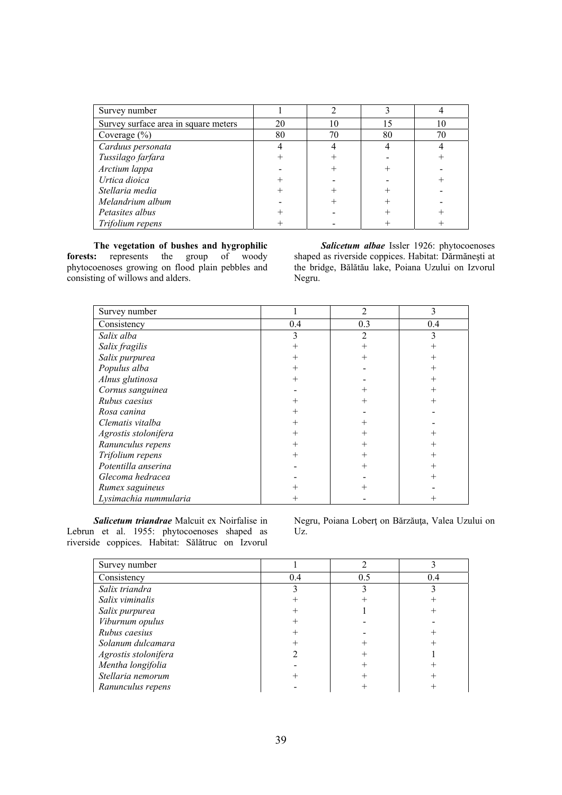| Survey number                        |    |    |    |    |
|--------------------------------------|----|----|----|----|
| Survey surface area in square meters | 20 | 10 | 15 | 10 |
| Coverage $(\%)$                      | 80 | 70 | 80 | 70 |
| Carduus personata                    |    |    |    |    |
| Tussilago farfara                    |    |    |    |    |
| Arctium lappa                        |    |    |    |    |
| Urtica dioica                        |    |    |    |    |
| Stellaria media                      |    |    |    |    |
| Melandrium album                     |    |    |    |    |
| Petasites albus                      |    |    |    |    |
| Trifolium repens                     |    |    |    |    |

**The vegetation of bushes and hygrophilic forests:** represents the group of woody phytocoenoses growing on flood plain pebbles and consisting of willows and alders.

*Salicetum albae* Issler 1926: phytocoenoses shaped as riverside coppices. Habitat: Dărmăneşti at the bridge, Bălătău lake, Poiana Uzului on Izvorul Negru.

| Survey number         |     | $\overline{2}$ | 3   |
|-----------------------|-----|----------------|-----|
| Consistency           | 0.4 | 0.3            | 0.4 |
| Salix alba            | 3   | $\mathfrak{D}$ |     |
| Salix fragilis        |     |                |     |
| Salix purpurea        |     |                |     |
| Populus alba          |     |                |     |
| Alnus glutinosa       |     |                |     |
| Cornus sanguinea      |     |                |     |
| Rubus caesius         |     |                |     |
| Rosa canina           |     |                |     |
| Clematis vitalba      |     |                |     |
| Agrostis stolonifera  |     |                |     |
| Ranunculus repens     |     |                |     |
| Trifolium repens      | ╇   |                |     |
| Potentilla anserina   |     |                |     |
| Glecoma hedracea      |     |                | ┿   |
| Rumex saguineus       |     |                |     |
| Lysimachia nummularia |     |                |     |

*Salicetum triandrae* Malcuit ex Noirfalise in Lebrun et al. 1955: phytocoenoses shaped as riverside coppices. Habitat: Sălătruc on Izvorul Negru, Poiana Loberţ on Bărzăuţa, Valea Uzului on Uz.

| Survey number        |     |     |     |
|----------------------|-----|-----|-----|
| Consistency          | 0.4 | 0.5 | 0.4 |
| Salix triandra       |     |     |     |
| Salix viminalis      |     |     |     |
| Salix purpurea       |     |     |     |
| Viburnum opulus      |     |     |     |
| Rubus caesius        |     |     |     |
| Solanum dulcamara    |     |     |     |
| Agrostis stolonifera |     |     |     |
| Mentha longifolia    |     |     |     |
| Stellaria nemorum    |     |     |     |
| Ranunculus repens    |     |     |     |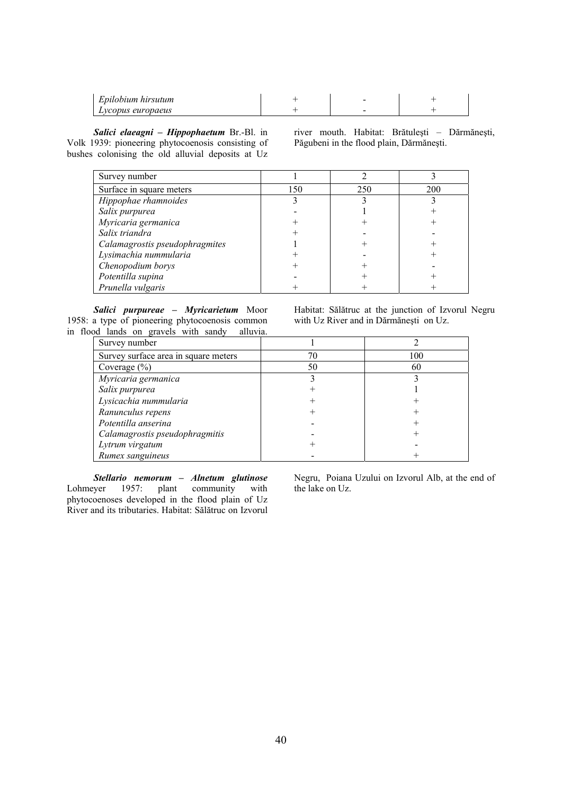| Epilobium hirsutum |  |  |
|--------------------|--|--|
| Lycopus europaeus  |  |  |

*Salici elaeagni – Hippophaetum* Br.-Bl. in Volk 1939: pioneering phytocoenosis consisting of bushes colonising the old alluvial deposits at Uz river mouth. Habitat: Brătuleşti – Dărmăneşti, Păgubeni in the flood plain, Dărmăneşti.

| Survey number                  |     |     |     |
|--------------------------------|-----|-----|-----|
| Surface in square meters       | 150 | 250 | 200 |
| Hippophae rhamnoides           |     |     |     |
| Salix purpurea                 |     |     |     |
| Myricaria germanica            |     |     |     |
| Salix triandra                 |     |     |     |
| Calamagrostis pseudophragmites |     |     |     |
| Lysimachia nummularia          |     |     |     |
| Chenopodium borys              |     |     |     |
| Potentilla supina              |     |     |     |
| Prunella vulgaris              |     |     |     |

*Salici purpureae – Myricarietum* Moor 1958: a type of pioneering phytocoenosis common in flood lands on gravels with sandy alluvia.

Habitat: Sălătruc at the junction of Izvorul Negru with Uz River and in Dărmăneşti on Uz.

| Survey number                        |    |     |
|--------------------------------------|----|-----|
| Survey surface area in square meters |    | 100 |
| Coverage $(\% )$                     | 50 | 60  |
| Myricaria germanica                  |    |     |
| Salix purpurea                       |    |     |
| Lysicachia nummularia                |    |     |
| Ranunculus repens                    |    |     |
| Potentilla anserina                  |    |     |
| Calamagrostis pseudophragmitis       |    |     |
| Lytrum virgatum                      |    |     |
| Rumex sanguineus                     |    |     |

*Stellario nemorum – Alnetum glutinose* Lohmeyer 1957: plant community with phytocoenoses developed in the flood plain of Uz River and its tributaries. Habitat: Sălătruc on Izvorul Negru, Poiana Uzului on Izvorul Alb, at the end of the lake on Uz.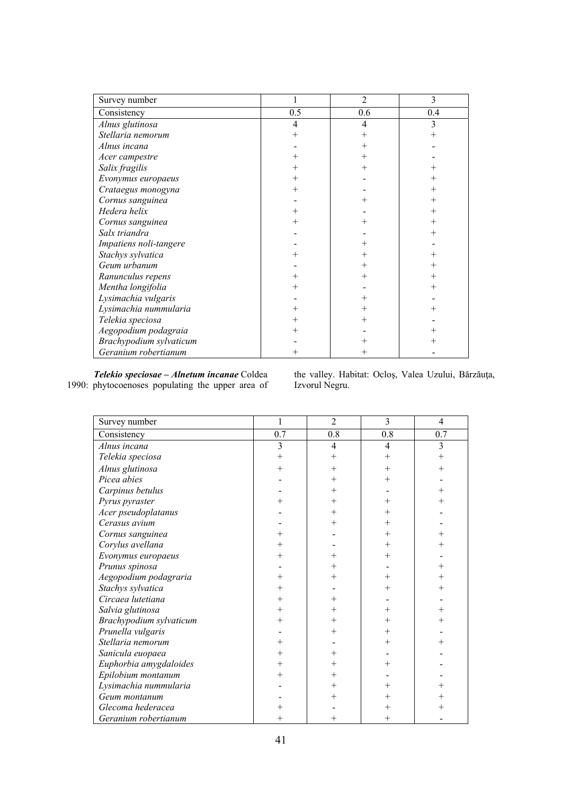| Survey number           |     | $\overline{2}$ | 3   |
|-------------------------|-----|----------------|-----|
| Consistency             | 0.5 | 0.6            | 0.4 |
| Alnus glutinosa         | 4   | 4              |     |
| Stellaria nemorum       |     |                |     |
| Alnus incana            |     |                |     |
| Acer campestre          |     |                |     |
| Salix fragilis          |     |                |     |
| Evonymus europaeus      |     |                |     |
| Crataegus monogyna      |     |                |     |
| Cornus sanguinea        |     |                |     |
| Hedera helix            |     |                |     |
| Cornus sanguinea        |     |                |     |
| Salx triandra           |     |                |     |
| Impatiens noli-tangere  |     |                |     |
| Stachys sylvatica       |     |                |     |
| Geum urbanum            |     |                |     |
| Ranunculus repens       |     |                |     |
| Mentha longifolia       |     |                |     |
| Lysimachia vulgaris     |     |                |     |
| Lysimachia nummularia   |     |                |     |
| Telekia speciosa        |     |                |     |
| Aegopodium podagraia    |     |                |     |
| Brachypodium sylvaticum |     |                |     |
| Geranium robertianum    |     |                |     |

*Telekio speciosae – Alnetum incanae* Coldea 1990: phytocoenoses populating the upper area of the valley. Habitat: Ocloş, Valea Uzului, Bărzăuţa, Izvorul Negru.

| Survey number           | 1                  | $\overline{2}$ | 3            | 4              |
|-------------------------|--------------------|----------------|--------------|----------------|
| Consistency             | 0.7                | 0.8            | 0.8          | 0.7            |
| Alnus incana            | $\overline{3}$     | 4              | 4            | 3              |
| Telekia speciosa        | $^{+}$             | $^{+}$         | $\mathrm{+}$ | $\overline{+}$ |
| Alnus glutinosa         | $\hspace{0.1mm} +$ | $^+$           | $\pm$        | ┿              |
| Picea abies             |                    | $\overline{+}$ | $^+$         |                |
| Carpinus betulus        |                    | $\overline{+}$ |              |                |
| Pyrus pyraster          |                    | ┿              |              |                |
| Acer pseudoplatanus     |                    |                |              |                |
| Cerasus avium           |                    |                |              |                |
| Cornus sanguinea        | $^+$               |                |              |                |
| Corylus avellana        | ┿                  |                | ┾            |                |
| Evonymus europaeus      |                    |                |              |                |
| Prunus spinosa          |                    |                |              |                |
| Aegopodium podagraria   | ┿                  | ┿              | ┿            |                |
| Stachys sylvatica       |                    |                |              |                |
| Circaea lutetiana       | ┿                  | $\,$           |              |                |
| Salvia glutinosa        | $^+$               |                |              |                |
| Brachypodium sylvaticum | $^+$               | $\overline{+}$ |              |                |
| Prunella vulgaris       |                    | $\, +$         |              |                |
| Stellaria nemorum       |                    |                |              |                |
| Sanicula euopaea        | ┿                  |                |              |                |
| Euphorbia amygdaloides  | $^+$               |                |              |                |
| Epilobium montanum      | ┿                  | ╄              |              |                |
| Lysimachia nummularia   |                    | $\,$           |              |                |
| Geum montanum           |                    |                |              |                |
| Glecoma hederacea       |                    |                |              |                |
| Geranium robertianum    |                    | $\overline{+}$ |              |                |